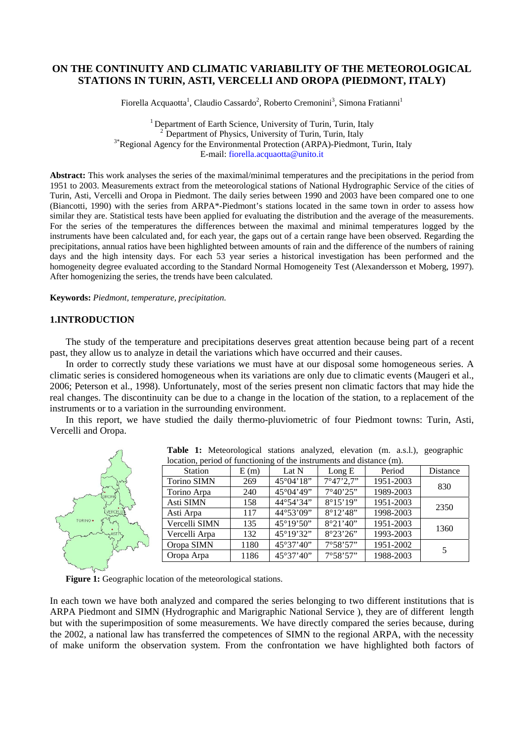# **ON THE CONTINUITY AND CLIMATIC VARIABILITY OF THE METEOROLOGICAL STATIONS IN TURIN, ASTI, VERCELLI AND OROPA (PIEDMONT, ITALY)**

Fiorella Acquaotta<sup>1</sup>, Claudio Cassardo<sup>2</sup>, Roberto Cremonini<sup>3</sup>, Simona Fratianni<sup>1</sup>

<sup>1</sup> Department of Earth Science, University of Turin, Turin, Italy  $2^2$  Department of Physics, University of Turin, Turin, Italy <sup>3\*</sup>Regional Agency for the Environmental Protection (ARPA)-Piedmont, Turin, Italy E-mail: fiorella.acquaotta@unito.it

**Abstract:** This work analyses the series of the maximal/minimal temperatures and the precipitations in the period from 1951 to 2003. Measurements extract from the meteorological stations of National Hydrographic Service of the cities of Turin, Asti, Vercelli and Oropa in Piedmont. The daily series between 1990 and 2003 have been compared one to one (Biancotti, 1990) with the series from ARPA\*-Piedmont's stations located in the same town in order to assess how similar they are. Statistical tests have been applied for evaluating the distribution and the average of the measurements. For the series of the temperatures the differences between the maximal and minimal temperatures logged by the instruments have been calculated and, for each year, the gaps out of a certain range have been observed. Regarding the precipitations, annual ratios have been highlighted between amounts of rain and the difference of the numbers of raining days and the high intensity days. For each 53 year series a historical investigation has been performed and the homogeneity degree evaluated according to the Standard Normal Homogeneity Test (Alexandersson et Moberg, 1997). After homogenizing the series, the trends have been calculated.

**Keywords:** *Piedmont, temperature, precipitation.*

### **1.INTRODUCTION**

The study of the temperature and precipitations deserves great attention because being part of a recent past, they allow us to analyze in detail the variations which have occurred and their causes.

In order to correctly study these variations we must have at our disposal some homogeneous series. A climatic series is considered homogeneous when its variations are only due to climatic events (Maugeri et al., 2006; Peterson et al., 1998). Unfortunately, most of the series present non climatic factors that may hide the real changes. The discontinuity can be due to a change in the location of the station, to a replacement of the instruments or to a variation in the surrounding environment.

In this report, we have studied the daily thermo-pluviometric of four Piedmont towns: Turin, Asti, Vercelli and Oropa.

|                                                                      | <b>Tuble 1.</b> <i>Hieroforo</i> can building and <i>flood</i> , elevation (in, a.g.i.), geographic |      |                     |                            |           |          |
|----------------------------------------------------------------------|-----------------------------------------------------------------------------------------------------|------|---------------------|----------------------------|-----------|----------|
| location, period of functioning of the instruments and distance (m). |                                                                                                     |      |                     |                            |           |          |
|                                                                      | Station                                                                                             | E(m) | Lat N               | Long $E$                   | Period    | Distance |
|                                                                      | Torino SIMN                                                                                         | 269  | $45^{\circ}04'18"$  | $7^{\circ}47'2.7"$         | 1951-2003 | 830      |
| <b>DROPA</b>                                                         | Torino Arpa                                                                                         | 240  | 45°04'49"           | $7^{\circ}40^{\prime}25$ " | 1989-2003 |          |
|                                                                      | Asti SIMN                                                                                           | 158  | 44°54'34"           | $8^{\circ}15'19''$         | 1951-2003 | 2350     |
| <b>VERCEL</b>                                                        | Asti Arpa                                                                                           | 117  | 44°53'09"           | $8^{\circ}12'48"$          | 1998-2003 |          |
| TORINO .                                                             | Vercelli SIMN                                                                                       | 135  | $45^{\circ}19'50''$ | 8°21'40"                   | 1951-2003 | 1360     |
|                                                                      | Vercelli Arpa                                                                                       | 132  | 45°19'32"           | 8°23'26"                   | 1993-2003 |          |
| month's                                                              | Oropa SIMN                                                                                          | 1180 | 45°37'40"           | 7°58'57"                   | 1951-2002 |          |
|                                                                      | Oropa Arpa                                                                                          | 1186 | 45°37'40"           | $7^{\circ}58'57"$          | 1988-2003 |          |
|                                                                      |                                                                                                     |      |                     |                            |           |          |

**Table 1:** Meteorological stations analyzed, elevation (m. a.s.l.), geographic

Figure 1: Geographic location of the meteorological stations.

In each town we have both analyzed and compared the series belonging to two different institutions that is ARPA Piedmont and SIMN (Hydrographic and Marigraphic National Service ), they are of different length but with the superimposition of some measurements. We have directly compared the series because, during the 2002, a national law has transferred the competences of SIMN to the regional ARPA, with the necessity of make uniform the observation system. From the confrontation we have highlighted both factors of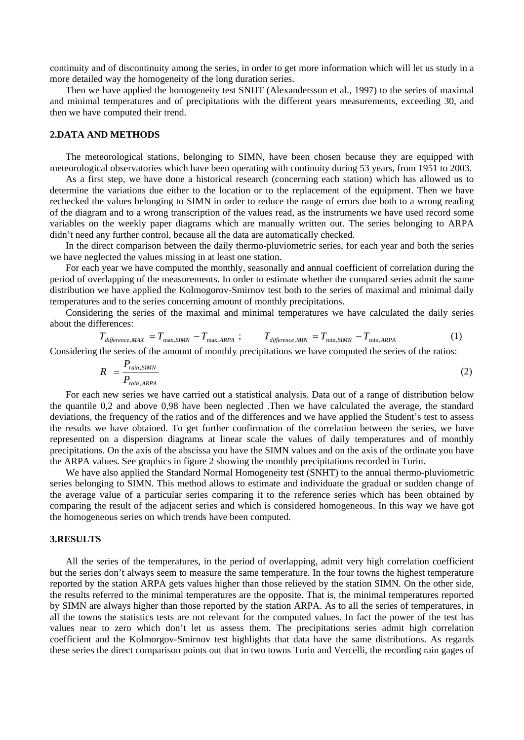continuity and of discontinuity among the series, in order to get more information which will let us study in a more detailed way the homogeneity of the long duration series.

Then we have applied the homogeneity test SNHT (Alexandersson et al., 1997) to the series of maximal and minimal temperatures and of precipitations with the different years measurements, exceeding 30, and then we have computed their trend.

# **2.DATA AND METHODS**

The meteorological stations, belonging to SIMN, have been chosen because they are equipped with meteorological observatories which have been operating with continuity during 53 years, from 1951 to 2003.

As a first step, we have done a historical research (concerning each station) which has allowed us to determine the variations due either to the location or to the replacement of the equipment. Then we have rechecked the values belonging to SIMN in order to reduce the range of errors due both to a wrong reading of the diagram and to a wrong transcription of the values read, as the instruments we have used record some variables on the weekly paper diagrams which are manually written out. The series belonging to ARPA didn't need any further control, because all the data are automatically checked.

In the direct comparison between the daily thermo-pluviometric series, for each year and both the series we have neglected the values missing in at least one station.

For each year we have computed the monthly, seasonally and annual coefficient of correlation during the period of overlapping of the measurements. In order to estimate whether the compared series admit the same distribution we have applied the Kolmogorov-Smirnov test both to the series of maximal and minimal daily temperatures and to the series concerning amount of monthly precipitations.

Considering the series of the maximal and minimal temperatures we have calculated the daily series about the differences:

$$
T_{\text{difference,MAX}} = T_{\text{max,SIMN}} - T_{\text{max,ARPA}}; \qquad T_{\text{difference,MIN}} = T_{\text{min,SIMN}} - T_{\text{min,ARPA}} \tag{1}
$$

Considering the series of the amount of monthly precipitations we have computed the series of the ratios:

$$
R = \frac{P_{\text{rain, SIMN}}}{P_{\text{rain, ARPA}}} \tag{2}
$$

For each new series we have carried out a statistical analysis. Data out of a range of distribution below the quantile 0,2 and above 0,98 have been neglected .Then we have calculated the average, the standard deviations, the frequency of the ratios and of the differences and we have applied the Student's test to assess the results we have obtained. To get further confirmation of the correlation between the series, we have represented on a dispersion diagrams at linear scale the values of daily temperatures and of monthly precipitations. On the axis of the abscissa you have the SIMN values and on the axis of the ordinate you have the ARPA values. See graphics in figure 2 showing the monthly precipitations recorded in Turin.

We have also applied the Standard Normal Homogeneity test (SNHT) to the annual thermo-pluviometric series belonging to SIMN. This method allows to estimate and individuate the gradual or sudden change of the average value of a particular series comparing it to the reference series which has been obtained by comparing the result of the adjacent series and which is considered homogeneous. In this way we have got the homogeneous series on which trends have been computed.

### **3.RESULTS**

All the series of the temperatures, in the period of overlapping, admit very high correlation coefficient but the series don't always seem to measure the same temperature. In the four towns the highest temperature reported by the station ARPA gets values higher than those relieved by the station SIMN. On the other side, the results referred to the minimal temperatures are the opposite. That is, the minimal temperatures reported by SIMN are always higher than those reported by the station ARPA. As to all the series of temperatures, in all the towns the statistics tests are not relevant for the computed values. In fact the power of the test has values near to zero which don't let us assess them. The precipitations series admit high correlation coefficient and the Kolmorgov-Smirnov test highlights that data have the same distributions. As regards these series the direct comparison points out that in two towns Turin and Vercelli, the recording rain gages of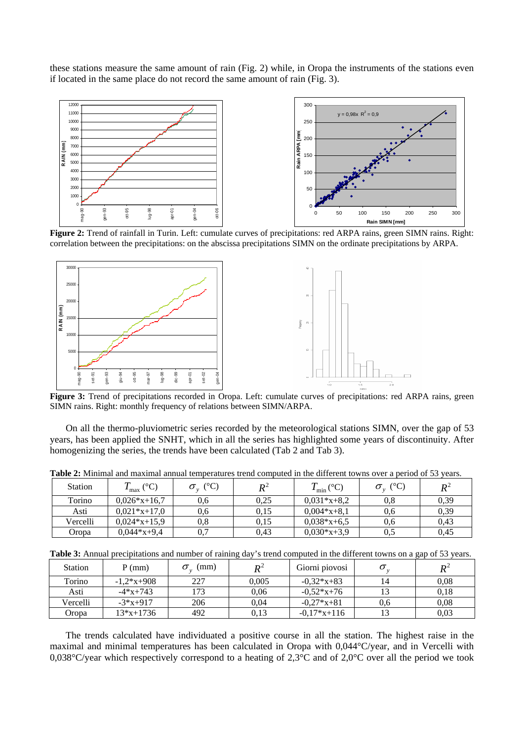these stations measure the same amount of rain (Fig. 2) while, in Oropa the instruments of the stations even if located in the same place do not record the same amount of rain (Fig. 3).



**Figure 2:** Trend of rainfall in Turin. Left: cumulate curves of precipitations: red ARPA rains, green SIMN rains. Right: correlation between the precipitations: on the abscissa precipitations SIMN on the ordinate precipitations by ARPA.



SIMN rains. Right: monthly frequency of relations between SIMN/ARPA.

On all the thermo-pluviometric series recorded by the meteorological stations SIMN, over the gap of 53 years, has been applied the SNHT, which in all the series has highlighted some years of discontinuity. After homogenizing the series, the trends have been calculated (Tab 2 and Tab 3).

| <b>Station</b> | $({}^\circ\mathrm{C})$<br>max ' | $^{\circ}\textrm{C}$ | $\boldsymbol{R}^2$ | $\Gamma_{\rm min}$ (°C) | $^{\circ}$ C) | $\pmb{R}^2$ |
|----------------|---------------------------------|----------------------|--------------------|-------------------------|---------------|-------------|
| Torino         | $0.026*x+16.7$                  | 0.6                  | 0.25               | $0.031*x+8.2$           | 0.8           | 0.39        |
| Asti           | $0.021*x+17.0$                  | 0.6                  | 0.15               | $0.004*x+8.1$           | 0.6           | 0,39        |
| Vercelli       | $0.024*x+15.9$                  | $\rm 0.8$            | 0.15               | $0.038*x+6.5$           | 0,6           | 0.43        |
| Oropa          | $0.044*x+9.4$                   | 0.7                  | 0.43               | $0,030*x+3,9$           | 0,5           | 0.45        |

**Table 2:** Minimal and maximal annual temperatures trend computed in the different towns over a period of 53 years.

**Table 3:** Annual precipitations and number of raining day's trend computed in the different towns on a gap of 53 years.

| <b>Station</b> | $P$ (mm)     | (mm) | $\mathbf{p}^2$ | Giorni piovosi |     | $\mathbb{R}^2$ |
|----------------|--------------|------|----------------|----------------|-----|----------------|
| Torino         | $-1,2*x+908$ | 227  | 0.005          | $-0.32*x+83$   |     | 0,08           |
| Asti           | $-4*x+743$   | 173  | 0.06           | $-0.52*x+76$   |     | 0.18           |
| Vercelli       | $-3*x+917$   | 206  | 0.04           | $-0.27*x + 81$ | 0.6 | 0,08           |
| Oropa          | $13*x+1736$  | 492  | 0.13           | $-0.17*x+116$  |     | 0,03           |

The trends calculated have individuated a positive course in all the station. The highest raise in the maximal and minimal temperatures has been calculated in Oropa with 0,044°C/year, and in Vercelli with 0,038°C/year which respectively correspond to a heating of 2,3°C and of 2,0°C over all the period we took